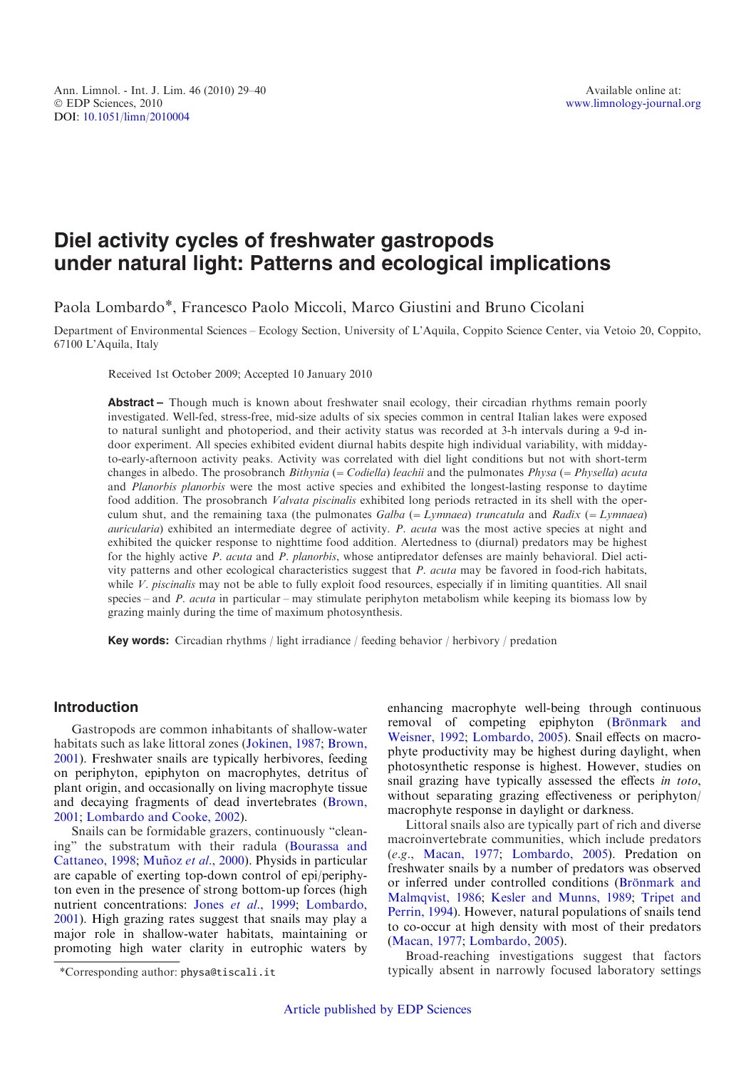# Diel activity cycles of freshwater gastropods under natural light: Patterns and ecological implications

Paola Lombardo\*, Francesco Paolo Miccoli, Marco Giustini and Bruno Cicolani

Department of Environmental Sciences – Ecology Section, University of L'Aquila, Coppito Science Center, via Vetoio 20, Coppito, 67100 L'Aquila, Italy

Received 1st October 2009; Accepted 10 January 2010

Abstract – Though much is known about freshwater snail ecology, their circadian rhythms remain poorly investigated. Well-fed, stress-free, mid-size adults of six species common in central Italian lakes were exposed to natural sunlight and photoperiod, and their activity status was recorded at 3-h intervals during a 9-d indoor experiment. All species exhibited evident diurnal habits despite high individual variability, with middayto-early-afternoon activity peaks. Activity was correlated with diel light conditions but not with short-term changes in albedo. The prosobranch *Bithynia* (= *Codiella*) leachii and the pulmonates  $Physa$  (=  $Physa$ ) acuta and Planorbis planorbis were the most active species and exhibited the longest-lasting response to daytime food addition. The prosobranch Valvata piscinalis exhibited long periods retracted in its shell with the operculum shut, and the remaining taxa (the pulmonates  $Galba (= Lymnaea)$  truncatula and  $Radix (= Lymnaea)$ auricularia) exhibited an intermediate degree of activity. P. acuta was the most active species at night and exhibited the quicker response to nighttime food addition. Alertedness to (diurnal) predators may be highest for the highly active P. acuta and P. planorbis, whose antipredator defenses are mainly behavioral. Diel activity patterns and other ecological characteristics suggest that P. acuta may be favored in food-rich habitats, while  $V$ . *piscinalis* may not be able to fully exploit food resources, especially if in limiting quantities. All snail species – and P. acuta in particular – may stimulate periphyton metabolism while keeping its biomass low by grazing mainly during the time of maximum photosynthesis.

Key words: Circadian rhythms / light irradiance / feeding behavior / herbivory / predation

# Introduction

Gastropods are common inhabitants of shallow-water habitats such as lake littoral zones [\(Jokinen, 1987;](#page-10-0) [Brown,](#page-9-0) [2001](#page-9-0)). Freshwater snails are typically herbivores, feeding on periphyton, epiphyton on macrophytes, detritus of plant origin, and occasionally on living macrophyte tissue and decaying fragments of dead invertebrates [\(Brown,](#page-9-0) [2001](#page-9-0); [Lombardo and Cooke, 2002](#page-10-0)).

Snails can be formidable grazers, continuously "cleaning" the substratum with their radula [\(Bourassa and](#page-9-0) [Cattaneo, 1998;](#page-9-0) Muñoz et al., 2000). Physids in particular are capable of exerting top-down control of epi/periphyton even in the presence of strong bottom-up forces (high nutrient concentrations: Jones et al.[, 1999](#page-10-0); [Lombardo,](#page-10-0) [2001](#page-10-0)). High grazing rates suggest that snails may play a major role in shallow-water habitats, maintaining or promoting high water clarity in eutrophic waters by

enhancing macrophyte well-being through continuous removal of competing epiphyton (Brönmark and [Weisner, 1992;](#page-9-0) [Lombardo, 2005](#page-10-0)). Snail effects on macrophyte productivity may be highest during daylight, when photosynthetic response is highest. However, studies on snail grazing have typically assessed the effects in toto, without separating grazing effectiveness or periphyton/ macrophyte response in daylight or darkness.

Littoral snails also are typically part of rich and diverse macroinvertebrate communities, which include predators (e.g., [Macan, 1977;](#page-10-0) [Lombardo, 2005](#page-10-0)). Predation on freshwater snails by a number of predators was observed or inferred under controlled conditions (Brönmark and [Malmqvist, 1986;](#page-9-0) [Kesler and Munns, 1989;](#page-10-0) [Tripet and](#page-11-0) [Perrin, 1994\)](#page-11-0). However, natural populations of snails tend to co-occur at high density with most of their predators ([Macan, 1977;](#page-10-0) [Lombardo, 2005](#page-10-0)).

Broad-reaching investigations suggest that factors \*Corresponding author: physa@tiscali.it typically absent in narrowly focused laboratory settings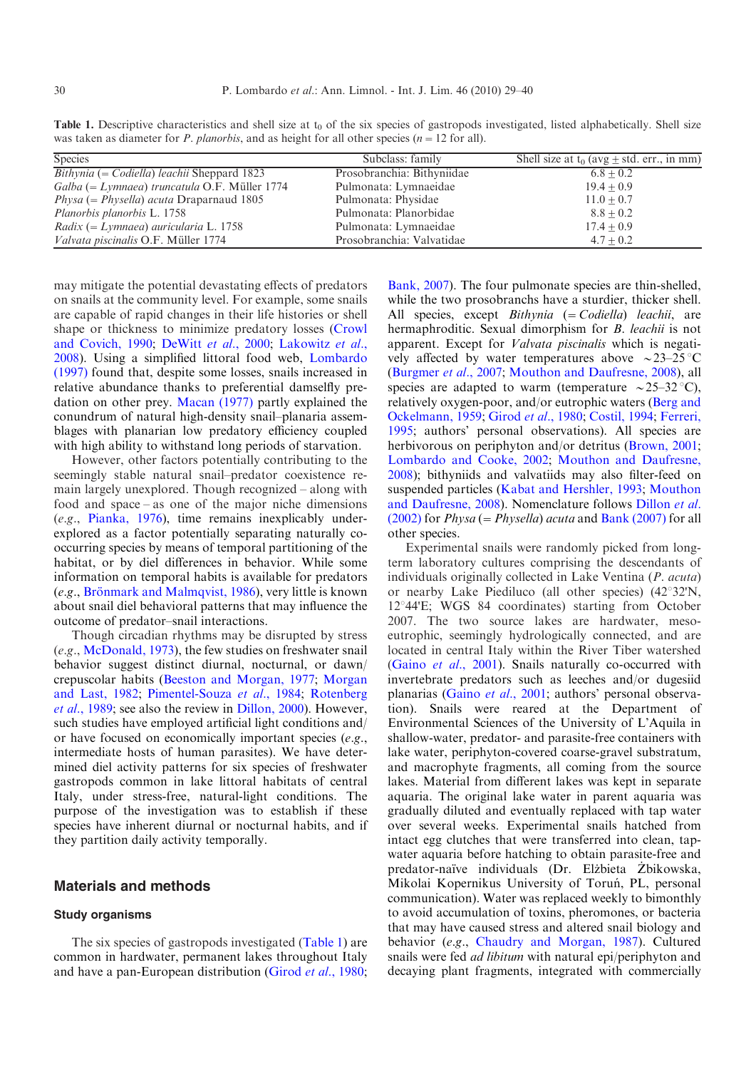<span id="page-1-0"></span>**Table 1.** Descriptive characteristics and shell size at  $t_0$  of the six species of gastropods investigated, listed alphabetically. Shell size was taken as diameter for *P. planorbis*, and as height for all other species ( $n=12$  for all).

| <b>Species</b>                                                    | Subclass: family           | Shell size at $t_0$ (avg $\pm$ std. err., in mm) |
|-------------------------------------------------------------------|----------------------------|--------------------------------------------------|
| <i>Bithynia</i> (= <i>Codiella</i> ) <i>leachii</i> Sheppard 1823 | Prosobranchia: Bithyniidae | $6.8 + 0.2$                                      |
| $Galba (= Lymnaea)$ truncatula O.F. Müller 1774                   | Pulmonata: Lymnaeidae      | $19.4 + 0.9$                                     |
| $Physa (= Physella) acuta Draparnaud 1805$                        | Pulmonata: Physidae        | $11.0 + 0.7$                                     |
| <i>Planorbis planorbis L.</i> 1758                                | Pulmonata: Planorbidae     | $8.8 + 0.2$                                      |
| Radix (= Lymnaea) auricularia L. 1758                             | Pulmonata: Lymnaeidae      | $17.4 + 0.9$                                     |
| Valvata piscinalis O.F. Müller 1774                               | Prosobranchia: Valvatidae  | $4.7 + 0.2$                                      |

may mitigate the potential devastating effects of predators on snails at the community level. For example, some snails are capable of rapid changes in their life histories or shell shape or thickness to minimize predatory losses [\(Crowl](#page-9-0) [and Covich, 1990;](#page-9-0) [DeWitt](#page-9-0) et al., 2000; [Lakowitz](#page-10-0) et al., [2008](#page-10-0)). Using a simplified littoral food web, [Lombardo](#page-10-0) [\(1997\)](#page-10-0) found that, despite some losses, snails increased in relative abundance thanks to preferential damselfly predation on other prey. [Macan \(1977\)](#page-10-0) partly explained the conundrum of natural high-density snail–planaria assemblages with planarian low predatory efficiency coupled with high ability to withstand long periods of starvation.

However, other factors potentially contributing to the seemingly stable natural snail–predator coexistence remain largely unexplored. Though recognized – along with food and space – as one of the major niche dimensions (e.g., [Pianka, 1976](#page-10-0)), time remains inexplicably underexplored as a factor potentially separating naturally cooccurring species by means of temporal partitioning of the habitat, or by diel differences in behavior. While some information on temporal habits is available for predators (e.g., Brönmark and Malmqvist, 1986), very little is known about snail diel behavioral patterns that may influence the outcome of predator–snail interactions.

Though circadian rhythms may be disrupted by stress (e.g., [McDonald, 1973\)](#page-10-0), the few studies on freshwater snail behavior suggest distinct diurnal, nocturnal, or dawn/ crepuscolar habits [\(Beeston and Morgan, 1977](#page-9-0); [Morgan](#page-10-0) [and Last, 1982;](#page-10-0) [Pimentel-Souza](#page-11-0) et al., 1984; [Rotenberg](#page-11-0) et al.[, 1989](#page-11-0); see also the review in [Dillon, 2000\)](#page-9-0). However, such studies have employed artificial light conditions and/ or have focused on economically important species (e.g., intermediate hosts of human parasites). We have determined diel activity patterns for six species of freshwater gastropods common in lake littoral habitats of central Italy, under stress-free, natural-light conditions. The purpose of the investigation was to establish if these species have inherent diurnal or nocturnal habits, and if they partition daily activity temporally.

## Materials and methods

#### Study organisms

The six species of gastropods investigated (Table 1) are common in hardwater, permanent lakes throughout Italy and have a pan-European distribution [\(Girod](#page-10-0) *et al.*, 1980; [Bank, 2007\)](#page-9-0). The four pulmonate species are thin-shelled, while the two prosobranchs have a sturdier, thicker shell. All species, except  $Bithynia (= Codiella)$  leachii, are hermaphroditic. Sexual dimorphism for *B. leachii* is not apparent. Except for Valvata piscinalis which is negatively affected by water temperatures above  $\sim$ 23–25 °C ([Burgmer](#page-9-0) et al., 2007; [Mouthon and Daufresne, 2008](#page-10-0)), all species are adapted to warm (temperature  $\sim$  25–32 °C), relatively oxygen-poor, and/or eutrophic waters [\(Berg and](#page-9-0) [Ockelmann, 1959](#page-9-0); [Girod](#page-10-0) et al., 1980; [Costil, 1994;](#page-9-0) [Ferreri,](#page-10-0) [1995](#page-10-0); authors' personal observations). All species are herbivorous on periphyton and/or detritus [\(Brown, 2001;](#page-9-0) [Lombardo and Cooke, 2002;](#page-10-0) [Mouthon and Daufresne,](#page-10-0) [2008](#page-10-0)); bithyniids and valvatiids may also filter-feed on suspended particles [\(Kabat and Hershler, 1993](#page-10-0); [Mouthon](#page-10-0) [and Daufresne, 2008\)](#page-10-0). Nomenclature follows [Dillon](#page-9-0) et al.  $(2002)$  for *Physa* (= *Physella*) *acuta* and **Bank** (2007) for all other species.

Experimental snails were randomly picked from longterm laboratory cultures comprising the descendants of individuals originally collected in Lake Ventina (P. acuta) or nearby Lake Piediluco (all other species)  $(42^{\circ}32'N,$ 12°44'E; WGS 84 coordinates) starting from October 2007. The two source lakes are hardwater, mesoeutrophic, seemingly hydrologically connected, and are located in central Italy within the River Tiber watershed (Gaino et al.[, 2001\)](#page-10-0). Snails naturally co-occurred with invertebrate predators such as leeches and/or dugesiid planarias [\(Gaino](#page-10-0) et al., 2001; authors' personal observation). Snails were reared at the Department of Environmental Sciences of the University of L'Aquila in shallow-water, predator- and parasite-free containers with lake water, periphyton-covered coarse-gravel substratum, and macrophyte fragments, all coming from the source lakes. Material from different lakes was kept in separate aquaria. The original lake water in parent aquaria was gradually diluted and eventually replaced with tap water over several weeks. Experimental snails hatched from intact egg clutches that were transferred into clean, tapwater aquaria before hatching to obtain parasite-free and predator-naïve individuals (Dr. Elżbieta Żbikowska, Mikolai Kopernikus University of Toruń, PL, personal communication). Water was replaced weekly to bimonthly to avoid accumulation of toxins, pheromones, or bacteria that may have caused stress and altered snail biology and behavior (e.g., [Chaudry and Morgan, 1987\)](#page-9-0). Cultured snails were fed *ad libitum* with natural epi/periphyton and decaying plant fragments, integrated with commercially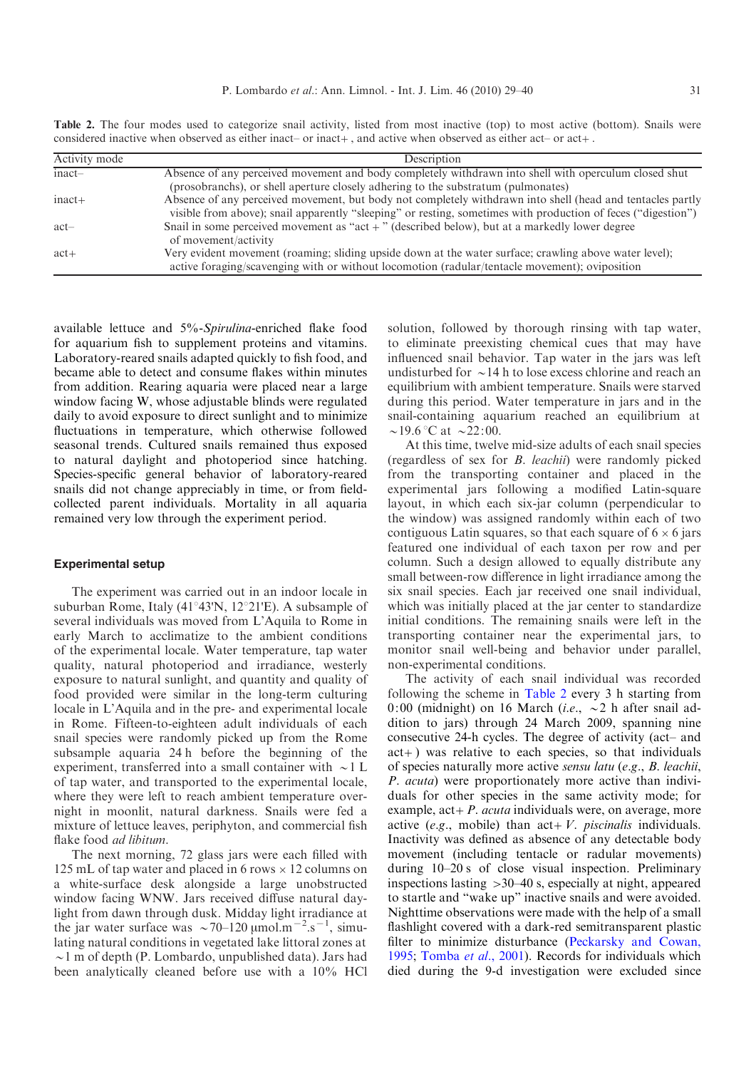<span id="page-2-0"></span>Table 2. The four modes used to categorize snail activity, listed from most inactive (top) to most active (bottom). Snails were considered inactive when observed as either inact– or inact+, and active when observed as either act– or act+.

| Activity mode | Description                                                                                                                                                                                                                 |  |  |
|---------------|-----------------------------------------------------------------------------------------------------------------------------------------------------------------------------------------------------------------------------|--|--|
| $inact-$      | Absence of any perceived movement and body completely withdrawn into shell with operculum closed shut                                                                                                                       |  |  |
|               | (prosobranchs), or shell aperture closely adhering to the substratum (pulmonates)                                                                                                                                           |  |  |
| $inact+$      | Absence of any perceived movement, but body not completely withdrawn into shell (head and tentacles partly<br>visible from above); snail apparently "sleeping" or resting, sometimes with production of feces ("digestion") |  |  |
| $act-$        | Snail in some perceived movement as "act $+$ " (described below), but at a markedly lower degree<br>of movement/activity                                                                                                    |  |  |
| $act+$        | Very evident movement (roaming; sliding upside down at the water surface; crawling above water level);<br>active foraging/scavenging with or without locomotion (radular/tentacle movement); oviposition                    |  |  |

available lettuce and 5%-Spirulina-enriched flake food for aquarium fish to supplement proteins and vitamins. Laboratory-reared snails adapted quickly to fish food, and became able to detect and consume flakes within minutes from addition. Rearing aquaria were placed near a large window facing W, whose adjustable blinds were regulated daily to avoid exposure to direct sunlight and to minimize fluctuations in temperature, which otherwise followed seasonal trends. Cultured snails remained thus exposed to natural daylight and photoperiod since hatching. Species-specific general behavior of laboratory-reared snails did not change appreciably in time, or from fieldcollected parent individuals. Mortality in all aquaria remained very low through the experiment period.

#### Experimental setup

The experiment was carried out in an indoor locale in suburban Rome, Italy (41 $\degree$ 43'N, 12 $\degree$ 21'E). A subsample of several individuals was moved from L'Aquila to Rome in early March to acclimatize to the ambient conditions of the experimental locale. Water temperature, tap water quality, natural photoperiod and irradiance, westerly exposure to natural sunlight, and quantity and quality of food provided were similar in the long-term culturing locale in L'Aquila and in the pre- and experimental locale in Rome. Fifteen-to-eighteen adult individuals of each snail species were randomly picked up from the Rome subsample aquaria 24 h before the beginning of the experiment, transferred into a small container with  $\sim$ 1 L of tap water, and transported to the experimental locale, where they were left to reach ambient temperature overnight in moonlit, natural darkness. Snails were fed a mixture of lettuce leaves, periphyton, and commercial fish flake food *ad libitum*.

The next morning, 72 glass jars were each filled with 125 mL of tap water and placed in 6 rows  $\times$  12 columns on a white-surface desk alongside a large unobstructed window facing WNW. Jars received diffuse natural daylight from dawn through dusk. Midday light irradiance at the jar water surface was  $\sim$ 70–120  $\mu$ mol.m<sup>-2</sup>.s<sup>-1</sup>, simulating natural conditions in vegetated lake littoral zones at  $\sim$ 1 m of depth (P. Lombardo, unpublished data). Jars had been analytically cleaned before use with a 10% HCl

solution, followed by thorough rinsing with tap water, to eliminate preexisting chemical cues that may have influenced snail behavior. Tap water in the jars was left undisturbed for  $\sim$  14 h to lose excess chlorine and reach an equilibrium with ambient temperature. Snails were starved during this period. Water temperature in jars and in the snail-containing aquarium reached an equilibrium at  $\sim$ 19.6 °C at  $\sim$ 22:00.

At this time, twelve mid-size adults of each snail species (regardless of sex for B. leachii) were randomly picked from the transporting container and placed in the experimental jars following a modified Latin-square layout, in which each six-jar column (perpendicular to the window) was assigned randomly within each of two contiguous Latin squares, so that each square of  $6 \times 6$  jars featured one individual of each taxon per row and per column. Such a design allowed to equally distribute any small between-row difference in light irradiance among the six snail species. Each jar received one snail individual, which was initially placed at the jar center to standardize initial conditions. The remaining snails were left in the transporting container near the experimental jars, to monitor snail well-being and behavior under parallel, non-experimental conditions.

The activity of each snail individual was recorded following the scheme in Table 2 every 3 h starting from 0:00 (midnight) on 16 March (*i.e.*,  $\sim$  2 h after snail addition to jars) through 24 March 2009, spanning nine consecutive 24-h cycles. The degree of activity (act– and act+) was relative to each species, so that individuals of species naturally more active sensu latu (e.g., B. leachii, P. acuta) were proportionately more active than individuals for other species in the same activity mode; for example,  $act + P$ . *acuta* individuals were, on average, more active (e.g., mobile) than  $act+V$ . *piscinalis* individuals. Inactivity was defined as absence of any detectable body movement (including tentacle or radular movements) during 10–20 s of close visual inspection. Preliminary inspections lasting >30–40 s, especially at night, appeared to startle and "wake up" inactive snails and were avoided. Nighttime observations were made with the help of a small flashlight covered with a dark-red semitransparent plastic filter to minimize disturbance ([Peckarsky and Cowan,](#page-10-0) [1995](#page-10-0); [Tomba](#page-11-0) et al., 2001). Records for individuals which died during the 9-d investigation were excluded since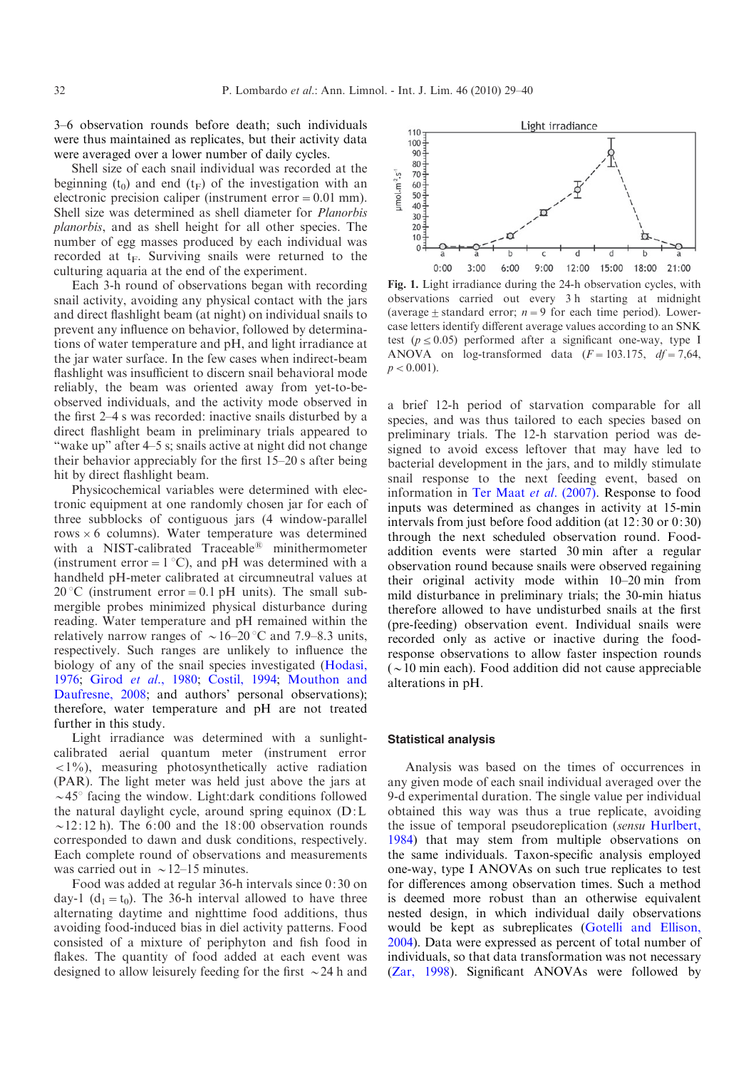<span id="page-3-0"></span>3–6 observation rounds before death; such individuals were thus maintained as replicates, but their activity data were averaged over a lower number of daily cycles.

Shell size of each snail individual was recorded at the beginning ( $t_0$ ) and end ( $t_F$ ) of the investigation with an electronic precision caliper (instrument error  $= 0.01$  mm). Shell size was determined as shell diameter for Planorbis planorbis, and as shell height for all other species. The number of egg masses produced by each individual was recorded at  $t_F$ . Surviving snails were returned to the culturing aquaria at the end of the experiment.

Each 3-h round of observations began with recording snail activity, avoiding any physical contact with the jars and direct flashlight beam (at night) on individual snails to prevent any influence on behavior, followed by determinations of water temperature and pH, and light irradiance at the jar water surface. In the few cases when indirect-beam flashlight was insufficient to discern snail behavioral mode reliably, the beam was oriented away from yet-to-beobserved individuals, and the activity mode observed in the first 2–4 s was recorded: inactive snails disturbed by a direct flashlight beam in preliminary trials appeared to "wake up" after 4–5 s; snails active at night did not change their behavior appreciably for the first 15–20 s after being hit by direct flashlight beam.

Physicochemical variables were determined with electronic equipment at one randomly chosen jar for each of three subblocks of contiguous jars (4 window-parallel rows  $\times$  6 columns). Water temperature was determined with a NIST-calibrated Traceable<sup>®</sup> minithermometer (instrument error =  $1^{\circ}C$ ), and pH was determined with a handheld pH-meter calibrated at circumneutral values at 20 °C (instrument error = 0.1 pH units). The small submergible probes minimized physical disturbance during reading. Water temperature and pH remained within the relatively narrow ranges of  $\sim$  16–20 °C and 7.9–8.3 units, respectively. Such ranges are unlikely to influence the biology of any of the snail species investigated ([Hodasi,](#page-10-0) [1976](#page-10-0); Girod et al.[, 1980;](#page-10-0) [Costil, 1994](#page-9-0); [Mouthon and](#page-10-0) [Daufresne, 2008;](#page-10-0) and authors' personal observations); therefore, water temperature and pH are not treated further in this study.

Light irradiance was determined with a sunlightcalibrated aerial quantum meter (instrument error  $\langle 1\% \rangle$ , measuring photosynthetically active radiation (PAR). The light meter was held just above the jars at  $\sim$  45 $\degree$  facing the window. Light:dark conditions followed the natural daylight cycle, around spring equinox (D:L  $\sim$ 12:12 h). The 6:00 and the 18:00 observation rounds corresponded to dawn and dusk conditions, respectively. Each complete round of observations and measurements was carried out in  $\sim$  12–15 minutes.

Food was added at regular 36-h intervals since 0:30 on day-1 (d<sub>1</sub> = t<sub>0</sub>). The 36-h interval allowed to have three alternating daytime and nighttime food additions, thus avoiding food-induced bias in diel activity patterns. Food consisted of a mixture of periphyton and fish food in flakes. The quantity of food added at each event was designed to allow leisurely feeding for the first  $\sim$  24 h and



Fig. 1. Light irradiance during the 24-h observation cycles, with observations carried out every 3 h starting at midnight (average  $\pm$  standard error;  $n=9$  for each time period). Lowercase letters identify different average values according to an SNK test ( $p \le 0.05$ ) performed after a significant one-way, type I ANOVA on log-transformed data  $(F=103.175, df=7.64,$  $p < 0.001$ ).

a brief 12-h period of starvation comparable for all species, and was thus tailored to each species based on preliminary trials. The 12-h starvation period was designed to avoid excess leftover that may have led to bacterial development in the jars, and to mildly stimulate snail response to the next feeding event, based on information in [Ter Maat](#page-11-0) et al. (2007). Response to food inputs was determined as changes in activity at 15-min intervals from just before food addition (at 12:30 or 0:30) through the next scheduled observation round. Foodaddition events were started 30 min after a regular observation round because snails were observed regaining their original activity mode within 10–20 min from mild disturbance in preliminary trials; the 30-min hiatus therefore allowed to have undisturbed snails at the first (pre-feeding) observation event. Individual snails were recorded only as active or inactive during the foodresponse observations to allow faster inspection rounds  $(\sim 10 \text{ min each})$ . Food addition did not cause appreciable alterations in pH.

#### Statistical analysis

Analysis was based on the times of occurrences in any given mode of each snail individual averaged over the 9-d experimental duration. The single value per individual obtained this way was thus a true replicate, avoiding the issue of temporal pseudoreplication (sensu [Hurlbert,](#page-10-0) [1984](#page-10-0)) that may stem from multiple observations on the same individuals. Taxon-specific analysis employed one-way, type I ANOVAs on such true replicates to test for differences among observation times. Such a method is deemed more robust than an otherwise equivalent nested design, in which individual daily observations would be kept as subreplicates [\(Gotelli and Ellison,](#page-10-0) [2004](#page-10-0)). Data were expressed as percent of total number of individuals, so that data transformation was not necessary ([Zar, 1998](#page-11-0)). Significant ANOVAs were followed by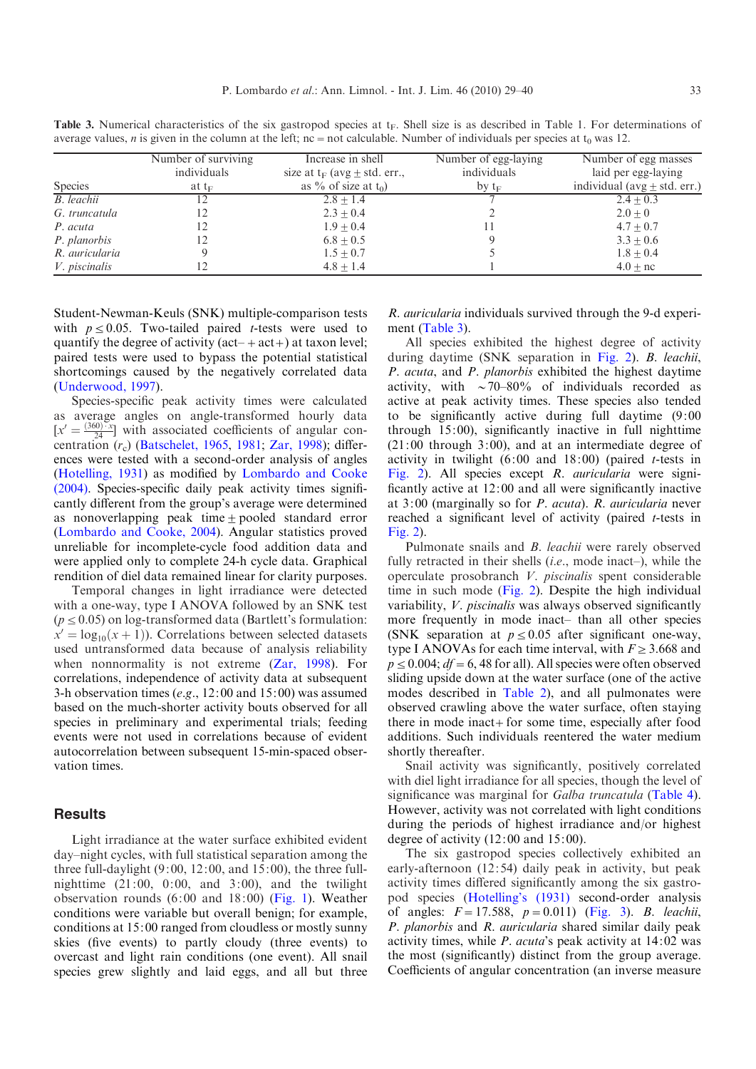<span id="page-4-0"></span>Table 3. Numerical characteristics of the six gastropod species at  $t_F$ . Shell size is as described in Table 1. For determinations of average values, n is given in the column at the left;  $nc = not$  calculable. Number of individuals per species at  $t_0$  was 12.

|                      | Number of surviving | Increase in shell                   | Number of egg-laying | Number of egg masses             |
|----------------------|---------------------|-------------------------------------|----------------------|----------------------------------|
|                      | individuals         | size at $t_F$ (avg $\pm$ std. err., | individuals          | laid per egg-laying              |
| <b>Species</b>       | at $t_F$            | as % of size at $t_0$ )             | by $t_F$             | individual (avg $\pm$ std. err.) |
| B. leachii           | 12                  | $2.8 + 1.4$                         |                      | $2.4 + 0.3$                      |
| G. truncatula        |                     | $2.3 + 0.4$                         |                      | $2.0 + 0$                        |
| P. acuta             |                     | $1.9 + 0.4$                         | Ħ                    | $4.7 + 0.7$                      |
| P. planorbis         | 12                  | $6.8 + 0.5$                         |                      | $3.3 + 0.6$                      |
| R. auricularia       |                     | $1.5 + 0.7$                         |                      | $1.8 + 0.4$                      |
| <i>V. piscinalis</i> |                     | $4.8 + 1.4$                         |                      | $4.0 + nc$                       |

Student-Newman-Keuls (SNK) multiple-comparison tests with  $p \le 0.05$ . Two-tailed paired t-tests were used to quantify the degree of activity  $(\text{act} + \text{act} +)$  at taxon level; paired tests were used to bypass the potential statistical shortcomings caused by the negatively correlated data ([Underwood, 1997](#page-11-0)).

Species-specific peak activity times were calculated as average angles on angle-transformed hourly data  $[x' = \frac{(360)^{-x}}{24}]$  with associated coefficients of angular concentration  $(r_c)$  ([Batschelet, 1965](#page-9-0), [1981](#page-9-0); [Zar, 1998](#page-11-0)); differences were tested with a second-order analysis of angles ([Hotelling, 1931\)](#page-10-0) as modified by [Lombardo and Cooke](#page-10-0) [\(2004\).](#page-10-0) Species-specific daily peak activity times significantly different from the group's average were determined as nonoverlapping peak time  $\pm$  pooled standard error ([Lombardo and Cooke, 2004\)](#page-10-0). Angular statistics proved unreliable for incomplete-cycle food addition data and were applied only to complete 24-h cycle data. Graphical rendition of diel data remained linear for clarity purposes.

Temporal changes in light irradiance were detected with a one-way, type I ANOVA followed by an SNK test  $(p \le 0.05)$  on log-transformed data (Bartlett's formulation:  $x' = log_{10}(x + 1)$ . Correlations between selected datasets used untransformed data because of analysis reliability when nonnormality is not extreme ([Zar, 1998\)](#page-11-0). For correlations, independence of activity data at subsequent 3-h observation times (e.g.,  $12:00$  and  $15:00$ ) was assumed based on the much-shorter activity bouts observed for all species in preliminary and experimental trials; feeding events were not used in correlations because of evident autocorrelation between subsequent 15-min-spaced observation times.

# **Results**

Light irradiance at the water surface exhibited evident day–night cycles, with full statistical separation among the three full-daylight  $(9:00, 12:00,$  and  $15:00$ ), the three fullnighttime  $(21:00, 0:00, \text{ and } 3:00)$ , and the twilight observation rounds (6:00 and 18:00) [\(Fig. 1\)](#page-3-0). Weather conditions were variable but overall benign; for example, conditions at 15:00 ranged from cloudless or mostly sunny skies (five events) to partly cloudy (three events) to overcast and light rain conditions (one event). All snail species grew slightly and laid eggs, and all but three

R. auricularia individuals survived through the 9-d experiment (Table 3).

All species exhibited the highest degree of activity during daytime (SNK separation in [Fig. 2\)](#page-5-0). B. leachii, P. acuta, and P. planorbis exhibited the highest daytime activity, with  $\sim$  70–80% of individuals recorded as active at peak activity times. These species also tended to be significantly active during full daytime (9:00 through 15:00), significantly inactive in full nighttime  $(21:00$  through  $3:00$ ), and at an intermediate degree of activity in twilight  $(6:00$  and  $18:00)$  (paired *t*-tests in [Fig. 2\)](#page-5-0). All species except R. auricularia were significantly active at 12:00 and all were significantly inactive at 3:00 (marginally so for P. acuta). R. auricularia never reached a significant level of activity (paired t-tests in [Fig. 2](#page-5-0)).

Pulmonate snails and *B. leachii* were rarely observed fully retracted in their shells *(i.e., mode inact–)*, while the operculate prosobranch V. piscinalis spent considerable time in such mode [\(Fig. 2](#page-5-0)). Despite the high individual variability, V. piscinalis was always observed significantly more frequently in mode inact– than all other species (SNK separation at  $p \le 0.05$  after significant one-way, type I ANOVAs for each time interval, with  $F \geq 3.668$  and  $p \leq 0.004$ ;  $df = 6$ , 48 for all). All species were often observed sliding upside down at the water surface (one of the active modes described in [Table 2\)](#page-2-0), and all pulmonates were observed crawling above the water surface, often staying there in mode inact+for some time, especially after food additions. Such individuals reentered the water medium shortly thereafter.

Snail activity was significantly, positively correlated with diel light irradiance for all species, though the level of significance was marginal for Galba truncatula ([Table 4](#page-6-0)). However, activity was not correlated with light conditions during the periods of highest irradiance and/or highest degree of activity (12:00 and 15:00).

The six gastropod species collectively exhibited an early-afternoon (12:54) daily peak in activity, but peak activity times differed significantly among the six gastropod species [\(Hotelling's \(1931\)](#page-10-0) second-order analysis of angles:  $F = 17.588$ ,  $p = 0.011$ ) ([Fig. 3\)](#page-6-0). B. leachii, P. planorbis and R. auricularia shared similar daily peak activity times, while  $P$ . *acuta*'s peak activity at  $14:02$  was the most (significantly) distinct from the group average. Coefficients of angular concentration (an inverse measure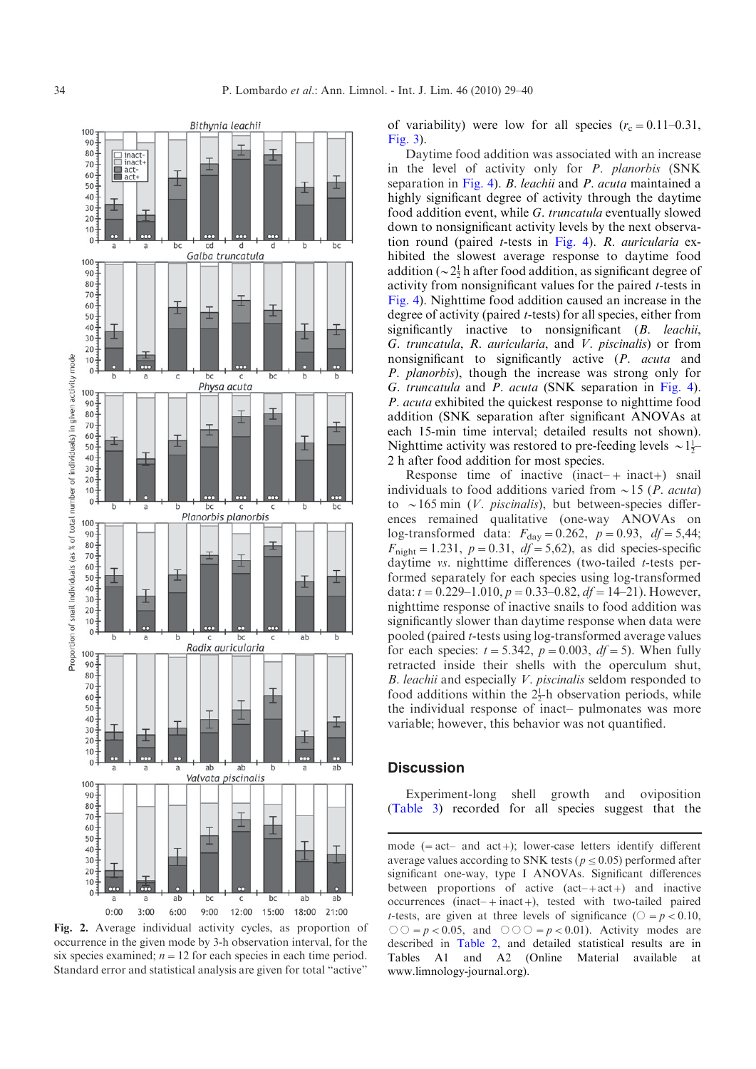<span id="page-5-0"></span>

Fig. 2. Average individual activity cycles, as proportion of occurrence in the given mode by 3-h observation interval, for the six species examined;  $n=12$  for each species in each time period. Standard error and statistical analysis are given for total "active"

of variability) were low for all species  $(r_c = 0.11-0.31,$ [Fig. 3](#page-6-0)).

Daytime food addition was associated with an increase in the level of activity only for P. planorbis (SNK separation in [Fig. 4\)](#page-7-0). B. leachii and P. acuta maintained a highly significant degree of activity through the daytime food addition event, while G. truncatula eventually slowed down to nonsignificant activity levels by the next observation round (paired t-tests in [Fig. 4](#page-7-0)). R. auricularia exhibited the slowest average response to daytime food addition ( $\sim 2\frac{1}{2}$  h after food addition, as significant degree of activity from nonsignificant values for the paired t-tests in [Fig. 4](#page-7-0)). Nighttime food addition caused an increase in the degree of activity (paired t-tests) for all species, either from significantly inactive to nonsignificant (B. leachii, G. truncatula, R. auricularia, and V. piscinalis) or from nonsignificant to significantly active (P. acuta and P. planorbis), though the increase was strong only for G. truncatula and P. acuta (SNK separation in [Fig. 4](#page-7-0)). P. acuta exhibited the quickest response to nighttime food addition (SNK separation after significant ANOVAs at each 15-min time interval; detailed results not shown). Nighttime activity was restored to pre-feeding levels  $\sim 1\frac{1}{2}$ 2 h after food addition for most species.

Response time of inactive (inact–+ inact+) snail individuals to food additions varied from  $\sim$  15 (*P. acuta*) to  $\sim$ 165 min (*V. piscinalis*), but between-species differences remained qualitative (one-way ANOVAs on log-transformed data:  $F_{\text{day}} = 0.262$ ,  $p = 0.93$ ,  $df = 5,44$ ;  $F_{\text{night}}=1.231, p=0.31, df=5,62$ , as did species-specific daytime *vs.* nighttime differences (two-tailed *t*-tests performed separately for each species using log-transformed data:  $t = 0.229-1.010$ ,  $p = 0.33-0.82$ ,  $df = 14-21$ ). However, nighttime response of inactive snails to food addition was significantly slower than daytime response when data were pooled (paired t-tests using log-transformed average values for each species:  $t = 5.342$ ,  $p = 0.003$ ,  $df = 5$ ). When fully retracted inside their shells with the operculum shut, B. leachii and especially V. piscinalis seldom responded to food additions within the  $2\frac{1}{2}$ h observation periods, while the individual response of inact– pulmonates was more variable; however, this behavior was not quantified.

## **Discussion**

Experiment-long shell growth and oviposition ([Table 3](#page-4-0)) recorded for all species suggest that the

mode  $(=act-$  and  $act+$ ); lower-case letters identify different average values according to SNK tests ( $p \leq 0.05$ ) performed after significant one-way, type I ANOVAs. Significant differences between proportions of active  $(\text{act} + \text{act} +)$  and inactive occurrences (inact–+inact+), tested with two-tailed paired *t*-tests, are given at three levels of significance ( $\bigcirc = p < 0.10$ ,  $\circlearrowright \circ p < 0.05$ , and  $\circlearrowright \circ \circlearrowright = p < 0.01$ . Activity modes are described in [Table 2,](#page-2-0) and detailed statistical results are in Tables A1 and A2 (Online Material available at www.limnology-journal.org).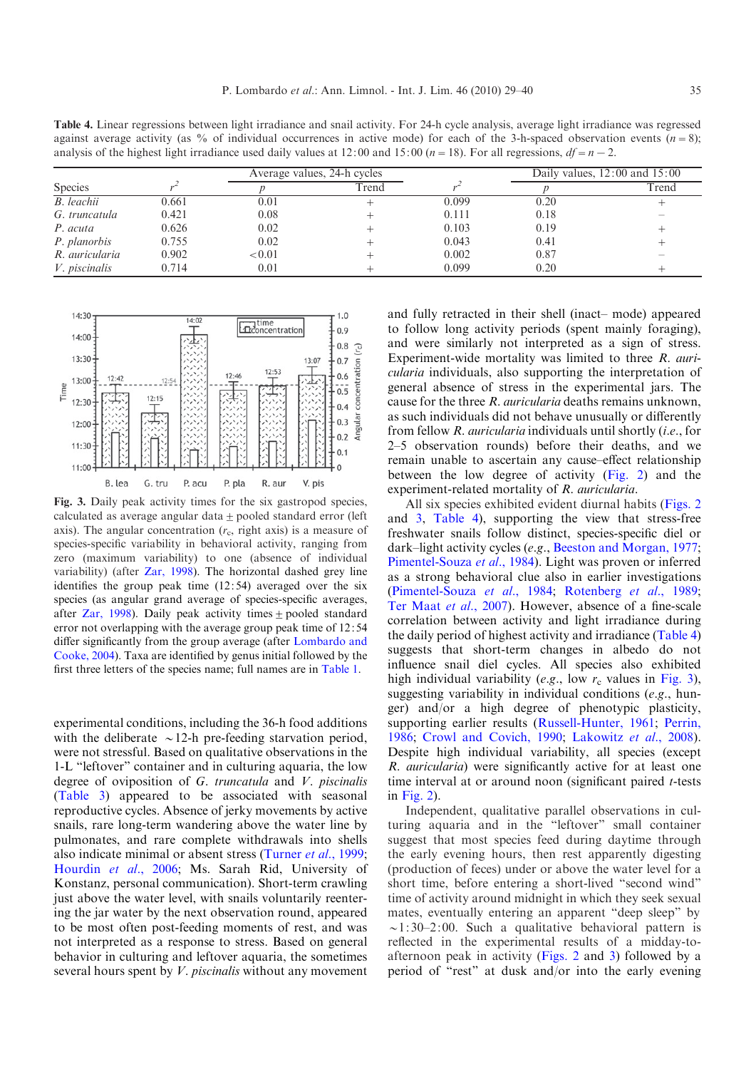<span id="page-6-0"></span>Table 4. Linear regressions between light irradiance and snail activity. For 24-h cycle analysis, average light irradiance was regressed against average activity (as % of individual occurrences in active mode) for each of the 3-h-spaced observation events ( $n=8$ ); analysis of the highest light irradiance used daily values at 12:00 and 15:00 ( $n=18$ ). For all regressions,  $df=n-2$ .

| <b>Species</b>       |       | Average values, 24-h cycles |       |       | Daily values, $12:00$ and $15:00$ |       |
|----------------------|-------|-----------------------------|-------|-------|-----------------------------------|-------|
|                      |       |                             | Trend |       |                                   | Trend |
| <b>B.</b> leachii    | 0.661 | 0.01                        |       | 0.099 | 0.20                              |       |
| G. truncatula        | 0.421 | 0.08                        |       | 0.111 | 0.18                              |       |
| P. acuta             | 0.626 | 0.02                        |       | 0.103 | 0.19                              |       |
| P. planorbis         | 0.755 | 0.02                        |       | 0.043 | 0.41                              |       |
| R. auricularia       | 0.902 | ${<}0.01$                   |       | 0.002 | 0.87                              |       |
| <i>V. piscinalis</i> | 0.714 | 0.01                        |       | 0.099 | 0.20                              |       |



Fig. 3. Daily peak activity times for the six gastropod species, calculated as average angular data  $\pm$  pooled standard error (left axis). The angular concentration  $(r<sub>c</sub>,$  right axis) is a measure of species-specific variability in behavioral activity, ranging from zero (maximum variability) to one (absence of individual variability) (after [Zar, 1998\)](#page-11-0). The horizontal dashed grey line identifies the group peak time (12:54) averaged over the six species (as angular grand average of species-specific averages, after [Zar, 1998](#page-11-0)). Daily peak activity times  $\pm$  pooled standard error not overlapping with the average group peak time of 12: 54 differ significantly from the group average (after [Lombardo and](#page-10-0) [Cooke, 2004\)](#page-10-0). Taxa are identified by genus initial followed by the first three letters of the species name; full names are in [Table 1](#page-1-0).

experimental conditions, including the 36-h food additions with the deliberate  $\sim$ 12-h pre-feeding starvation period, were not stressful. Based on qualitative observations in the 1-L "leftover" container and in culturing aquaria, the low degree of oviposition of G. truncatula and V. piscinalis ([Table 3\)](#page-4-0) appeared to be associated with seasonal reproductive cycles. Absence of jerky movements by active snails, rare long-term wandering above the water line by pulmonates, and rare complete withdrawals into shells also indicate minimal or absent stress [\(Turner](#page-11-0) et al., 1999; [Hourdin](#page-10-0) et al., 2006; Ms. Sarah Rid, University of Konstanz, personal communication). Short-term crawling just above the water level, with snails voluntarily reentering the jar water by the next observation round, appeared to be most often post-feeding moments of rest, and was not interpreted as a response to stress. Based on general behavior in culturing and leftover aquaria, the sometimes several hours spent by V. piscinalis without any movement and fully retracted in their shell (inact– mode) appeared to follow long activity periods (spent mainly foraging), and were similarly not interpreted as a sign of stress. Experiment-wide mortality was limited to three R. auricularia individuals, also supporting the interpretation of general absence of stress in the experimental jars. The cause for the three R. auricularia deaths remains unknown, as such individuals did not behave unusually or differently from fellow R. auricularia individuals until shortly (i.e., for 2–5 observation rounds) before their deaths, and we remain unable to ascertain any cause–effect relationship between the low degree of activity ([Fig. 2](#page-5-0)) and the experiment-related mortality of R. auricularia.

All six species exhibited evident diurnal habits ([Figs. 2](#page-5-0) and 3, Table 4), supporting the view that stress-free freshwater snails follow distinct, species-specific diel or dark–light activity cycles (e.g., [Beeston and Morgan, 1977;](#page-9-0) [Pimentel-Souza](#page-11-0) et al., 1984). Light was proven or inferred as a strong behavioral clue also in earlier investigations ([Pimentel-Souza](#page-11-0) et al., 1984; [Rotenberg](#page-11-0) et al., 1989; [Ter Maat](#page-11-0) et al., 2007). However, absence of a fine-scale correlation between activity and light irradiance during the daily period of highest activity and irradiance (Table 4) suggests that short-term changes in albedo do not influence snail diel cycles. All species also exhibited high individual variability (e.g., low  $r_c$  values in Fig. 3), suggesting variability in individual conditions (e.g., hunger) and/or a high degree of phenotypic plasticity, supporting earlier results [\(Russell-Hunter, 1961](#page-11-0); [Perrin,](#page-10-0) [1986](#page-10-0); [Crowl and Covich, 1990;](#page-9-0) [Lakowitz](#page-10-0) et al., 2008). Despite high individual variability, all species (except R. auricularia) were significantly active for at least one time interval at or around noon (significant paired  $t$ -tests in [Fig. 2](#page-5-0)).

Independent, qualitative parallel observations in culturing aquaria and in the "leftover" small container suggest that most species feed during daytime through the early evening hours, then rest apparently digesting (production of feces) under or above the water level for a short time, before entering a short-lived "second wind" time of activity around midnight in which they seek sexual mates, eventually entering an apparent "deep sleep" by  $\sim$ 1:30–2:00. Such a qualitative behavioral pattern is reflected in the experimental results of a midday-toafternoon peak in activity ([Figs. 2](#page-5-0) and 3) followed by a period of "rest" at dusk and/or into the early evening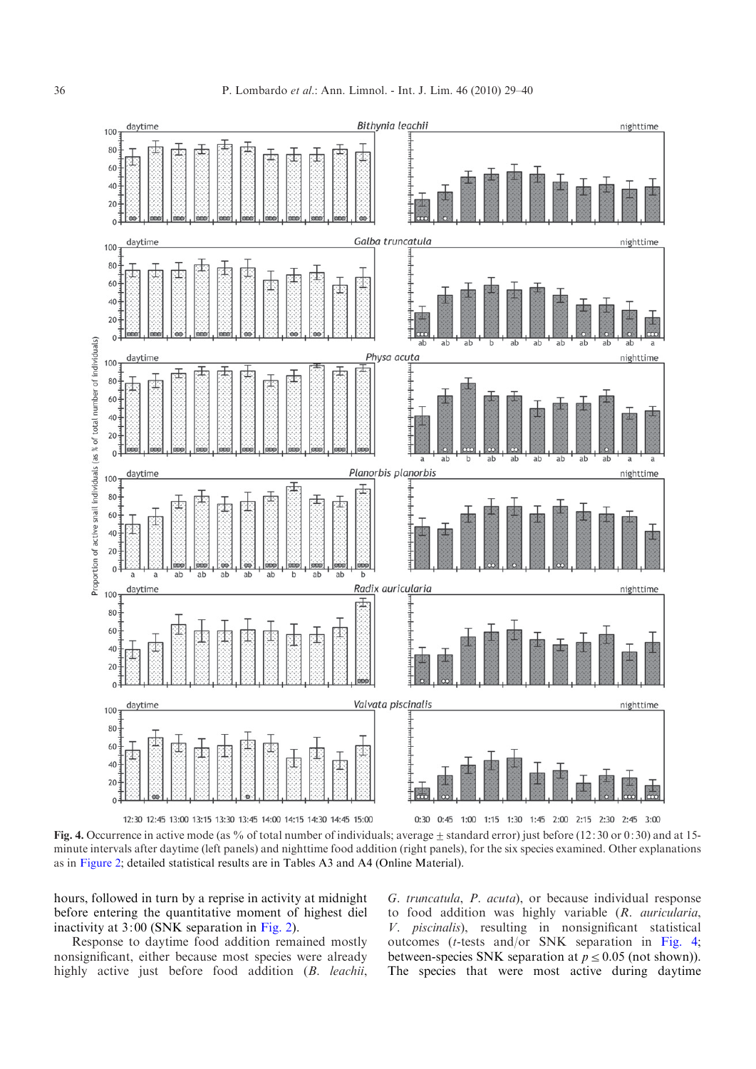<span id="page-7-0"></span>

Fig. 4. Occurrence in active mode (as % of total number of individuals; average  $\pm$  standard error) just before (12:30 or 0:30) and at 15minute intervals after daytime (left panels) and nighttime food addition (right panels), for the six species examined. Other explanations as in [Figure 2;](#page-5-0) detailed statistical results are in Tables A3 and A4 (Online Material).

hours, followed in turn by a reprise in activity at midnight before entering the quantitative moment of highest diel inactivity at 3:00 (SNK separation in [Fig. 2](#page-5-0)).

Response to daytime food addition remained mostly nonsignificant, either because most species were already highly active just before food addition (B. leachii, G. truncatula, P. acuta), or because individual response to food addition was highly variable (R. auricularia, V. piscinalis), resulting in nonsignificant statistical outcomes (t-tests and/or SNK separation in Fig. 4; between-species SNK separation at  $p \leq 0.05$  (not shown)). The species that were most active during daytime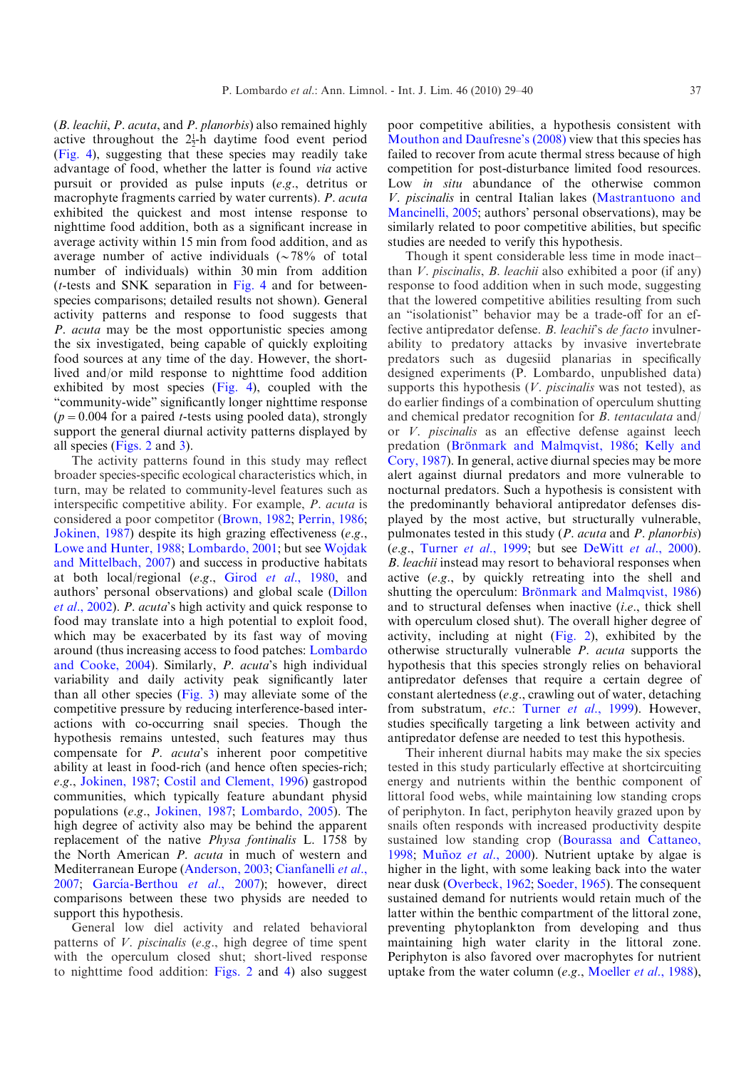(B. leachii, P. acuta, and P. planorbis) also remained highly active throughout the  $2\frac{1}{2}$ -h daytime food event period ([Fig. 4](#page-7-0)), suggesting that these species may readily take advantage of food, whether the latter is found via active pursuit or provided as pulse inputs (e.g., detritus or macrophyte fragments carried by water currents). *P. acuta* exhibited the quickest and most intense response to nighttime food addition, both as a significant increase in average activity within 15 min from food addition, and as average number of active individuals  $(\sim 78\%$  of total number of individuals) within 30 min from addition ( $t$ -tests and SNK separation in [Fig. 4](#page-7-0) and for betweenspecies comparisons; detailed results not shown). General activity patterns and response to food suggests that P. acuta may be the most opportunistic species among the six investigated, being capable of quickly exploiting food sources at any time of the day. However, the shortlived and/or mild response to nighttime food addition exhibited by most species ([Fig. 4](#page-7-0)), coupled with the "community-wide" significantly longer nighttime response  $(p=0.004$  for a paired *t*-tests using pooled data), strongly support the general diurnal activity patterns displayed by all species ([Figs. 2](#page-5-0) and [3\)](#page-6-0).

The activity patterns found in this study may reflect broader species-specific ecological characteristics which, in turn, may be related to community-level features such as interspecific competitive ability. For example, P. acuta is considered a poor competitor [\(Brown, 1982](#page-9-0); [Perrin, 1986;](#page-10-0) [Jokinen, 1987\)](#page-10-0) despite its high grazing effectiveness (e.g., [Lowe and Hunter, 1988](#page-10-0); [Lombardo, 2001;](#page-10-0) but see [Wojdak](#page-11-0) [and Mittelbach, 2007](#page-11-0)) and success in productive habitats at both local/regional (e.g., Girod et al.[, 1980,](#page-10-0) and authors' personal observations) and global scale [\(Dillon](#page-9-0) et al.[, 2002](#page-9-0)). P. acuta's high activity and quick response to food may translate into a high potential to exploit food, which may be exacerbated by its fast way of moving around (thus increasing access to food patches: [Lombardo](#page-10-0) [and Cooke, 2004](#page-10-0)). Similarly, P. acuta's high individual variability and daily activity peak significantly later than all other species [\(Fig. 3](#page-6-0)) may alleviate some of the competitive pressure by reducing interference-based interactions with co-occurring snail species. Though the hypothesis remains untested, such features may thus compensate for P. acuta's inherent poor competitive ability at least in food-rich (and hence often species-rich; e.g., [Jokinen, 1987;](#page-10-0) [Costil and Clement, 1996\)](#page-9-0) gastropod communities, which typically feature abundant physid populations (e.g., [Jokinen, 1987](#page-10-0); [Lombardo, 2005\)](#page-10-0). The high degree of activity also may be behind the apparent replacement of the native Physa fontinalis L. 1758 by the North American P. acuta in much of western and Mediterranean Europe ([Anderson, 2003](#page-9-0); [Cianfanelli](#page-9-0) et al., [2007](#page-9-0); García-Berthou et al., 2007); however, direct comparisons between these two physids are needed to support this hypothesis.

General low diel activity and related behavioral patterns of *V. piscinalis (e.g., high degree of time spent* with the operculum closed shut; short-lived response to nighttime food addition: [Figs. 2](#page-5-0) and [4](#page-7-0)) also suggest poor competitive abilities, a hypothesis consistent with [Mouthon and Daufresne's \(2008\)](#page-10-0) view that this species has failed to recover from acute thermal stress because of high competition for post-disturbance limited food resources. Low in situ abundance of the otherwise common V. piscinalis in central Italian lakes [\(Mastrantuono and](#page-10-0) [Mancinelli, 2005](#page-10-0); authors' personal observations), may be similarly related to poor competitive abilities, but specific studies are needed to verify this hypothesis.

Though it spent considerable less time in mode inact– than  $V$ . piscinalis,  $B$ . leachii also exhibited a poor (if any) response to food addition when in such mode, suggesting that the lowered competitive abilities resulting from such an "isolationist" behavior may be a trade-off for an effective antipredator defense. B. leachii's de facto invulnerability to predatory attacks by invasive invertebrate predators such as dugesiid planarias in specifically designed experiments (P. Lombardo, unpublished data) supports this hypothesis  $(V.$  *piscinalis* was not tested), as do earlier findings of a combination of operculum shutting and chemical predator recognition for B. tentaculata and/ or V. piscinalis as an effective defense against leech predation (Brönmark and Malmqvist, 1986; [Kelly and](#page-10-0) [Cory, 1987\)](#page-10-0). In general, active diurnal species may be more alert against diurnal predators and more vulnerable to nocturnal predators. Such a hypothesis is consistent with the predominantly behavioral antipredator defenses displayed by the most active, but structurally vulnerable, pulmonates tested in this study (P. acuta and P. planorbis)  $(e.g., Turner et al., 1999; but see DeWitt et al., 2000).$  $(e.g., Turner et al., 1999; but see DeWitt et al., 2000).$  $(e.g., Turner et al., 1999; but see DeWitt et al., 2000).$  $(e.g., Turner et al., 1999; but see DeWitt et al., 2000).$  $(e.g., Turner et al., 1999; but see DeWitt et al., 2000).$ B. leachii instead may resort to behavioral responses when active (e.g., by quickly retreating into the shell and shutting the operculum: Brönmark and Malmqvist, 1986) and to structural defenses when inactive (i.e., thick shell with operculum closed shut). The overall higher degree of activity, including at night ([Fig. 2\)](#page-5-0), exhibited by the otherwise structurally vulnerable P. acuta supports the hypothesis that this species strongly relies on behavioral antipredator defenses that require a certain degree of constant alertedness (e.g., crawling out of water, detaching from substratum, etc.: [Turner](#page-11-0) et al., 1999). However, studies specifically targeting a link between activity and antipredator defense are needed to test this hypothesis.

Their inherent diurnal habits may make the six species tested in this study particularly effective at shortcircuiting energy and nutrients within the benthic component of littoral food webs, while maintaining low standing crops of periphyton. In fact, periphyton heavily grazed upon by snails often responds with increased productivity despite sustained low standing crop ([Bourassa and Cattaneo,](#page-9-0) [1998](#page-9-0); Muñoz et al., 2000). Nutrient uptake by algae is higher in the light, with some leaking back into the water near dusk [\(Overbeck, 1962;](#page-10-0) [Soeder, 1965\)](#page-11-0). The consequent sustained demand for nutrients would retain much of the latter within the benthic compartment of the littoral zone, preventing phytoplankton from developing and thus maintaining high water clarity in the littoral zone. Periphyton is also favored over macrophytes for nutrient uptake from the water column (e.g., [Moeller](#page-10-0) et al., 1988),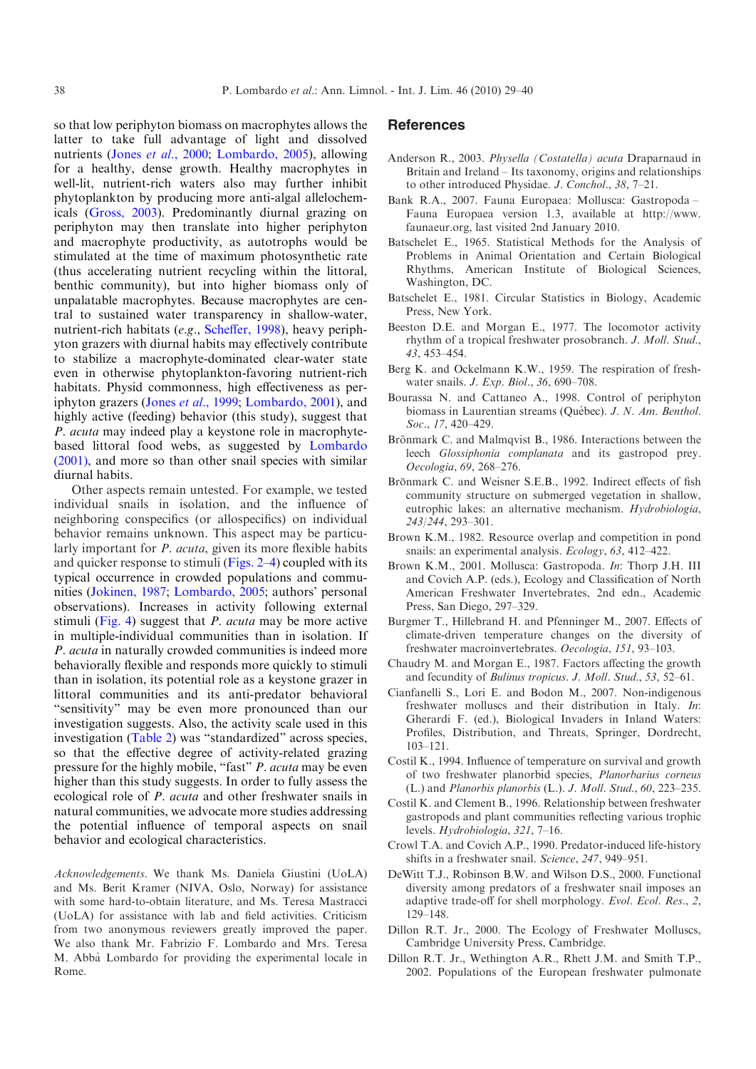<span id="page-9-0"></span>so that low periphyton biomass on macrophytes allows the latter to take full advantage of light and dissolved nutrients (Jones et al.[, 2000](#page-10-0); [Lombardo, 2005](#page-10-0)), allowing for a healthy, dense growth. Healthy macrophytes in well-lit, nutrient-rich waters also may further inhibit phytoplankton by producing more anti-algal allelochemicals ([Gross, 2003](#page-10-0)). Predominantly diurnal grazing on periphyton may then translate into higher periphyton and macrophyte productivity, as autotrophs would be stimulated at the time of maximum photosynthetic rate (thus accelerating nutrient recycling within the littoral, benthic community), but into higher biomass only of unpalatable macrophytes. Because macrophytes are central to sustained water transparency in shallow-water, nutrient-rich habitats (e.g., [Scheffer, 1998](#page-11-0)), heavy periphyton grazers with diurnal habits may effectively contribute to stabilize a macrophyte-dominated clear-water state even in otherwise phytoplankton-favoring nutrient-rich habitats. Physid commonness, high effectiveness as periphyton grazers (Jones et al.[, 1999](#page-10-0); [Lombardo, 2001\)](#page-10-0), and highly active (feeding) behavior (this study), suggest that P. acuta may indeed play a keystone role in macrophytebased littoral food webs, as suggested by [Lombardo](#page-10-0) [\(2001\),](#page-10-0) and more so than other snail species with similar diurnal habits.

Other aspects remain untested. For example, we tested individual snails in isolation, and the influence of neighboring conspecifics (or allospecifics) on individual behavior remains unknown. This aspect may be particularly important for *P. acuta*, given its more flexible habits and quicker response to stimuli ([Figs. 2–](#page-5-0)[4\)](#page-7-0) coupled with its typical occurrence in crowded populations and communities [\(Jokinen, 1987;](#page-10-0) [Lombardo, 2005;](#page-10-0) authors' personal observations). Increases in activity following external stimuli ([Fig. 4](#page-7-0)) suggest that P. acuta may be more active in multiple-individual communities than in isolation. If P. acuta in naturally crowded communities is indeed more behaviorally flexible and responds more quickly to stimuli than in isolation, its potential role as a keystone grazer in littoral communities and its anti-predator behavioral "sensitivity" may be even more pronounced than our investigation suggests. Also, the activity scale used in this investigation ([Table 2](#page-2-0)) was "standardized" across species, so that the effective degree of activity-related grazing pressure for the highly mobile, "fast" P. acuta may be even higher than this study suggests. In order to fully assess the ecological role of P. acuta and other freshwater snails in natural communities, we advocate more studies addressing the potential influence of temporal aspects on snail behavior and ecological characteristics.

Acknowledgements. We thank Ms. Daniela Giustini (UoLA) and Ms. Berit Kramer (NIVA, Oslo, Norway) for assistance with some hard-to-obtain literature, and Ms. Teresa Mastracci (UoLA) for assistance with lab and field activities. Criticism from two anonymous reviewers greatly improved the paper. We also thank Mr. Fabrizio F. Lombardo and Mrs. Teresa M. Abba` Lombardo for providing the experimental locale in Rome.

# **References**

- Anderson R., 2003. Physella (Costatella) acuta Draparnaud in Britain and Ireland – Its taxonomy, origins and relationships to other introduced Physidae. J. Conchol., 38, 7–21.
- Bank R.A., 2007. Fauna Europaea: Mollusca: Gastropoda Fauna Europaea version 1.3, available at http://www. faunaeur.org, last visited 2nd January 2010.
- Batschelet E., 1965. Statistical Methods for the Analysis of Problems in Animal Orientation and Certain Biological Rhythms, American Institute of Biological Sciences, Washington, DC.
- Batschelet E., 1981. Circular Statistics in Biology, Academic Press, New York.
- Beeston D.E. and Morgan E., 1977. The locomotor activity rhythm of a tropical freshwater prosobranch. J. Moll. Stud., 43, 453–454.
- Berg K. and Ockelmann K.W., 1959. The respiration of freshwater snails. J. Exp. Biol., 36, 690–708.
- Bourassa N. and Cattaneo A., 1998. Control of periphyton biomass in Laurentian streams (Québec). J. N. Am. Benthol. Soc., 17, 420-429.
- Brönmark C. and Malmqvist B., 1986. Interactions between the leech Glossiphonia complanata and its gastropod prey. Oecologia, 69, 268–276.
- Brönmark C. and Weisner S.E.B., 1992. Indirect effects of fish community structure on submerged vegetation in shallow, eutrophic lakes: an alternative mechanism. Hydrobiologia, 243/244, 293–301.
- Brown K.M., 1982. Resource overlap and competition in pond snails: an experimental analysis. Ecology, 63, 412–422.
- Brown K.M., 2001. Mollusca: Gastropoda. In: Thorp J.H. III and Covich A.P. (eds.), Ecology and Classification of North American Freshwater Invertebrates, 2nd edn., Academic Press, San Diego, 297–329.
- Burgmer T., Hillebrand H. and Pfenninger M., 2007. Effects of climate-driven temperature changes on the diversity of freshwater macroinvertebrates. Oecologia, 151, 93–103.
- Chaudry M. and Morgan E., 1987. Factors affecting the growth and fecundity of Bulinus tropicus. J. Moll. Stud., 53, 52–61.
- Cianfanelli S., Lori E. and Bodon M., 2007. Non-indigenous freshwater molluscs and their distribution in Italy. In: Gherardi F. (ed.), Biological Invaders in Inland Waters: Profiles, Distribution, and Threats, Springer, Dordrecht, 103–121.
- Costil K., 1994. Influence of temperature on survival and growth of two freshwater planorbid species, Planorbarius corneus (L.) and Planorbis planorbis (L.). J. Moll. Stud., 60, 223–235.
- Costil K. and Clement B., 1996. Relationship between freshwater gastropods and plant communities reflecting various trophic levels. Hydrobiologia, 321, 7–16.
- Crowl T.A. and Covich A.P., 1990. Predator-induced life-history shifts in a freshwater snail. Science, 247, 949–951.
- DeWitt T.J., Robinson B.W. and Wilson D.S., 2000. Functional diversity among predators of a freshwater snail imposes an adaptive trade-off for shell morphology. Evol. Ecol. Res., 2, 129–148.
- Dillon R.T. Jr., 2000. The Ecology of Freshwater Molluscs, Cambridge University Press, Cambridge.
- Dillon R.T. Jr., Wethington A.R., Rhett J.M. and Smith T.P., 2002. Populations of the European freshwater pulmonate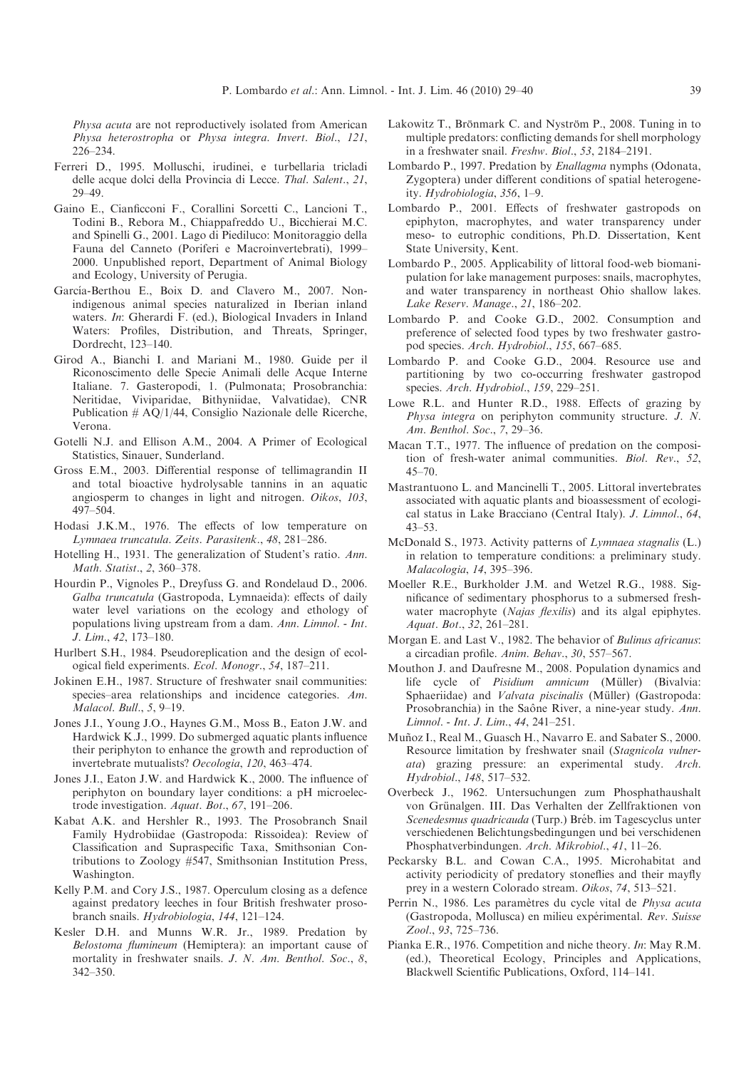<span id="page-10-0"></span>Physa acuta are not reproductively isolated from American Physa heterostropha or Physa integra. Invert. Biol., 121, 226–234.

- Ferreri D., 1995. Molluschi, irudinei, e turbellaria tricladi delle acque dolci della Provincia di Lecce. Thal. Salent., 21, 29–49.
- Gaino E., Cianficconi F., Corallini Sorcetti C., Lancioni T., Todini B., Rebora M., Chiappafreddo U., Bicchierai M.C. and Spinelli G., 2001. Lago di Piediluco: Monitoraggio della Fauna del Canneto (Poriferi e Macroinvertebrati), 1999– 2000. Unpublished report, Department of Animal Biology and Ecology, University of Perugia.
- García-Berthou E., Boix D. and Clavero M., 2007. Nonindigenous animal species naturalized in Iberian inland waters. In: Gherardi F. (ed.), Biological Invaders in Inland Waters: Profiles, Distribution, and Threats, Springer, Dordrecht, 123–140.
- Girod A., Bianchi I. and Mariani M., 1980. Guide per il Riconoscimento delle Specie Animali delle Acque Interne Italiane. 7. Gasteropodi, 1. (Pulmonata; Prosobranchia: Neritidae, Viviparidae, Bithyniidae, Valvatidae), CNR Publication # AQ/1/44, Consiglio Nazionale delle Ricerche, Verona.
- Gotelli N.J. and Ellison A.M., 2004. A Primer of Ecological Statistics, Sinauer, Sunderland.
- Gross E.M., 2003. Differential response of tellimagrandin II and total bioactive hydrolysable tannins in an aquatic angiosperm to changes in light and nitrogen. Oikos, 103, 497–504.
- Hodasi J.K.M., 1976. The effects of low temperature on Lymnaea truncatula. Zeits. Parasitenk., 48, 281–286.
- Hotelling H., 1931. The generalization of Student's ratio. Ann. Math. Statist., 2, 360–378.
- Hourdin P., Vignoles P., Dreyfuss G. and Rondelaud D., 2006. Galba truncatula (Gastropoda, Lymnaeida): effects of daily water level variations on the ecology and ethology of populations living upstream from a dam. Ann. Limnol. - Int. J. Lim., 42, 173–180.
- Hurlbert S.H., 1984. Pseudoreplication and the design of ecological field experiments. Ecol. Monogr., 54, 187–211.
- Jokinen E.H., 1987. Structure of freshwater snail communities: species–area relationships and incidence categories. Am. Malacol. Bull., 5, 9–19.
- Jones J.I., Young J.O., Haynes G.M., Moss B., Eaton J.W. and Hardwick K.J., 1999. Do submerged aquatic plants influence their periphyton to enhance the growth and reproduction of invertebrate mutualists? Oecologia, 120, 463–474.
- Jones J.I., Eaton J.W. and Hardwick K., 2000. The influence of periphyton on boundary layer conditions: a pH microelectrode investigation. Aquat. Bot., 67, 191–206.
- Kabat A.K. and Hershler R., 1993. The Prosobranch Snail Family Hydrobiidae (Gastropoda: Rissoidea): Review of Classification and Supraspecific Taxa, Smithsonian Contributions to Zoology #547, Smithsonian Institution Press, Washington.
- Kelly P.M. and Cory J.S., 1987. Operculum closing as a defence against predatory leeches in four British freshwater prosobranch snails. Hydrobiologia, 144, 121–124.
- Kesler D.H. and Munns W.R. Jr., 1989. Predation by Belostoma flumineum (Hemiptera): an important cause of mortality in freshwater snails. J. N. Am. Benthol. Soc., 8, 342–350.
- Lakowitz T., Brönmark C. and Nyström P., 2008. Tuning in to multiple predators: conflicting demands for shell morphology in a freshwater snail. Freshw. Biol., 53, 2184–2191.
- Lombardo P., 1997. Predation by Enallagma nymphs (Odonata, Zygoptera) under different conditions of spatial heterogeneity. Hydrobiologia, 356, 1–9.
- Lombardo P., 2001. Effects of freshwater gastropods on epiphyton, macrophytes, and water transparency under meso- to eutrophic conditions, Ph.D. Dissertation, Kent State University, Kent.
- Lombardo P., 2005. Applicability of littoral food-web biomanipulation for lake management purposes: snails, macrophytes, and water transparency in northeast Ohio shallow lakes. Lake Reserv. Manage., 21, 186–202.
- Lombardo P. and Cooke G.D., 2002. Consumption and preference of selected food types by two freshwater gastropod species. Arch. Hydrobiol., 155, 667–685.
- Lombardo P. and Cooke G.D., 2004. Resource use and partitioning by two co-occurring freshwater gastropod species. Arch. Hydrobiol., 159, 229–251.
- Lowe R.L. and Hunter R.D., 1988. Effects of grazing by Physa integra on periphyton community structure. J. N. Am. Benthol. Soc., 7, 29–36.
- Macan T.T., 1977. The influence of predation on the composition of fresh-water animal communities. Biol. Rev., 52,  $45 - 70$ .
- Mastrantuono L. and Mancinelli T., 2005. Littoral invertebrates associated with aquatic plants and bioassessment of ecological status in Lake Bracciano (Central Italy). J. Limnol., 64, 43–53.
- McDonald S., 1973. Activity patterns of Lymnaea stagnalis (L.) in relation to temperature conditions: a preliminary study. Malacologia, 14, 395–396.
- Moeller R.E., Burkholder J.M. and Wetzel R.G., 1988. Significance of sedimentary phosphorus to a submersed freshwater macrophyte (Najas flexilis) and its algal epiphytes. Aquat. Bot., 32, 261–281.
- Morgan E. and Last V., 1982. The behavior of Bulinus africanus: a circadian profile. Anim. Behav., 30, 557–567.
- Mouthon J. and Daufresne M., 2008. Population dynamics and life cycle of Pisidium amnicum (Müller) (Bivalvia: Sphaeriidae) and Valvata piscinalis (Müller) (Gastropoda: Prosobranchia) in the Saône River, a nine-year study. Ann. Limnol. - Int. J. Lim., 44, 241–251.
- Muñoz I., Real M., Guasch H., Navarro E. and Sabater S., 2000. Resource limitation by freshwater snail (Stagnicola vulnerata) grazing pressure: an experimental study. Arch. Hydrobiol., 148, 517–532.
- Overbeck J., 1962. Untersuchungen zum Phosphathaushalt von Grünalgen. III. Das Verhalten der Zellfraktionen von Scenedesmus quadricauda (Turp.) Bréb. im Tagescyclus unter verschiedenen Belichtungsbedingungen und bei verschidenen Phosphatverbindungen. Arch. Mikrobiol., 41, 11–26.
- Peckarsky B.L. and Cowan C.A., 1995. Microhabitat and activity periodicity of predatory stoneflies and their mayfly prey in a western Colorado stream. Oikos, 74, 513–521.
- Perrin N., 1986. Les paramètres du cycle vital de Physa acuta (Gastropoda, Mollusca) en milieu expérimental. Rev. Suisse Zool., 93, 725–736.
- Pianka E.R., 1976. Competition and niche theory. In: May R.M. (ed.), Theoretical Ecology, Principles and Applications, Blackwell Scientific Publications, Oxford, 114–141.